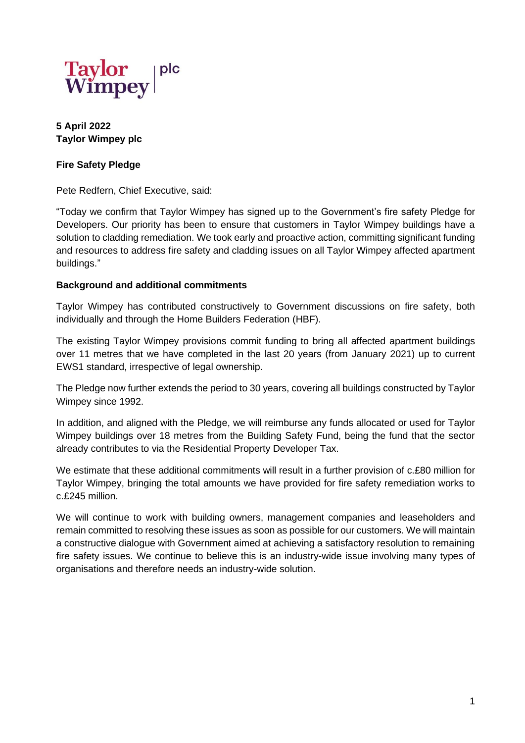

**5 April 2022 Taylor Wimpey plc**

## **Fire Safety Pledge**

Pete Redfern, Chief Executive, said:

"Today we confirm that Taylor Wimpey has signed up to the Government's fire safety Pledge for Developers. Our priority has been to ensure that customers in Taylor Wimpey buildings have a solution to cladding remediation. We took early and proactive action, committing significant funding and resources to address fire safety and cladding issues on all Taylor Wimpey affected apartment buildings."

## **Background and additional commitments**

Taylor Wimpey has contributed constructively to Government discussions on fire safety, both individually and through the Home Builders Federation (HBF).

The existing Taylor Wimpey provisions commit funding to bring all affected apartment buildings over 11 metres that we have completed in the last 20 years (from January 2021) up to current EWS1 standard, irrespective of legal ownership.

The Pledge now further extends the period to 30 years, covering all buildings constructed by Taylor Wimpey since 1992.

In addition, and aligned with the Pledge, we will reimburse any funds allocated or used for Taylor Wimpey buildings over 18 metres from the Building Safety Fund, being the fund that the sector already contributes to via the Residential Property Developer Tax.

We estimate that these additional commitments will result in a further provision of c.£80 million for Taylor Wimpey, bringing the total amounts we have provided for fire safety remediation works to c.£245 million.

We will continue to work with building owners, management companies and leaseholders and remain committed to resolving these issues as soon as possible for our customers. We will maintain a constructive dialogue with Government aimed at achieving a satisfactory resolution to remaining fire safety issues. We continue to believe this is an industry-wide issue involving many types of organisations and therefore needs an industry-wide solution.